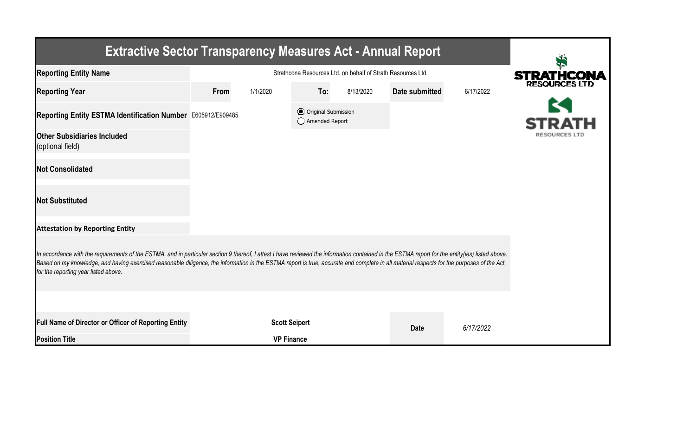| <b>Extractive Sector Transparency Measures Act - Annual Report</b>                                                                                                                                                                                                                                                                                                                                                                    |      |                      |                                                  |           |                |           |                      |  |  |  |  |
|---------------------------------------------------------------------------------------------------------------------------------------------------------------------------------------------------------------------------------------------------------------------------------------------------------------------------------------------------------------------------------------------------------------------------------------|------|----------------------|--------------------------------------------------|-----------|----------------|-----------|----------------------|--|--|--|--|
| <b>Reporting Entity Name</b>                                                                                                                                                                                                                                                                                                                                                                                                          |      | <b>STRATHCONA</b>    |                                                  |           |                |           |                      |  |  |  |  |
| <b>Reporting Year</b>                                                                                                                                                                                                                                                                                                                                                                                                                 | From | 1/1/2020             | To:                                              | 8/13/2020 | Date submitted | 6/17/2022 | <b>RESOURCES LTD</b> |  |  |  |  |
| Reporting Entity ESTMA Identification Number E605912/E909485                                                                                                                                                                                                                                                                                                                                                                          |      |                      | <b>⊙</b> Original Submission<br>◯ Amended Report |           |                |           |                      |  |  |  |  |
| <b>Other Subsidiaries Included</b><br>(optional field)                                                                                                                                                                                                                                                                                                                                                                                |      |                      |                                                  |           |                |           | RESOURCES LTD        |  |  |  |  |
| <b>Not Consolidated</b>                                                                                                                                                                                                                                                                                                                                                                                                               |      |                      |                                                  |           |                |           |                      |  |  |  |  |
| <b>Not Substituted</b>                                                                                                                                                                                                                                                                                                                                                                                                                |      |                      |                                                  |           |                |           |                      |  |  |  |  |
| <b>Attestation by Reporting Entity</b>                                                                                                                                                                                                                                                                                                                                                                                                |      |                      |                                                  |           |                |           |                      |  |  |  |  |
| In accordance with the requirements of the ESTMA, and in particular section 9 thereof, I attest I have reviewed the information contained in the ESTMA report for the entity(ies) listed above.<br>Based on my knowledge, and having exercised reasonable diligence, the information in the ESTMA report is true, accurate and complete in all material respects for the purposes of the Act,<br>for the reporting year listed above. |      |                      |                                                  |           |                |           |                      |  |  |  |  |
|                                                                                                                                                                                                                                                                                                                                                                                                                                       |      |                      |                                                  |           |                |           |                      |  |  |  |  |
| Full Name of Director or Officer of Reporting Entity                                                                                                                                                                                                                                                                                                                                                                                  |      | <b>Scott Seipert</b> |                                                  |           | <b>Date</b>    | 6/17/2022 |                      |  |  |  |  |
| <b>Position Title</b>                                                                                                                                                                                                                                                                                                                                                                                                                 |      | <b>VP Finance</b>    |                                                  |           |                |           |                      |  |  |  |  |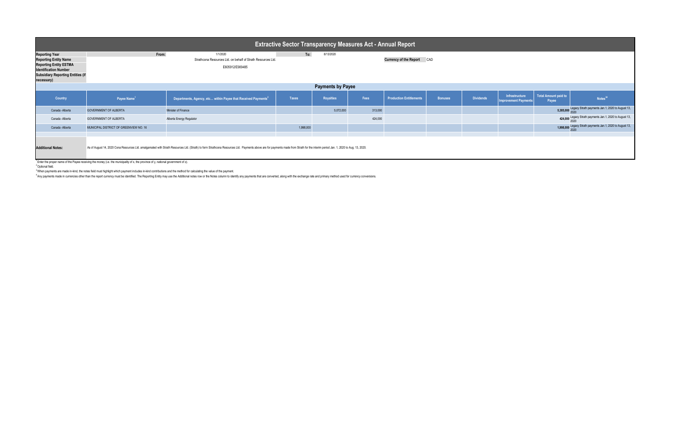| <b>Extractive Sector Transparency Measures Act - Annual Report</b>                                                                                                                                                                                                                                                                                                                                                                                                                                                                                                                                             |                                        |                                                                           |                                                |                  |         |                                |                |                  |                                               |                               |                                                            |
|----------------------------------------------------------------------------------------------------------------------------------------------------------------------------------------------------------------------------------------------------------------------------------------------------------------------------------------------------------------------------------------------------------------------------------------------------------------------------------------------------------------------------------------------------------------------------------------------------------------|----------------------------------------|---------------------------------------------------------------------------|------------------------------------------------|------------------|---------|--------------------------------|----------------|------------------|-----------------------------------------------|-------------------------------|------------------------------------------------------------|
| <b>Reporting Year</b><br><b>Reporting Entity Name</b><br><b>Reporting Entity ESTMA</b><br><b>Identification Number</b><br><b>Subsidiary Reporting Entities (if</b><br>necessary)                                                                                                                                                                                                                                                                                                                                                                                                                               | From:                                  | Strathcona Resources Ltd. on behalf of Strath Resources Ltd.              | To:<br>8/13/2020<br>Currency of the Report CAD |                  |         |                                |                |                  |                                               |                               |                                                            |
| <b>Payments by Payee</b>                                                                                                                                                                                                                                                                                                                                                                                                                                                                                                                                                                                       |                                        |                                                                           |                                                |                  |         |                                |                |                  |                                               |                               |                                                            |
| Country                                                                                                                                                                                                                                                                                                                                                                                                                                                                                                                                                                                                        | Payee Name <sup>1</sup>                | Departments, Agency, etc within Payee that Received Payments <sup>2</sup> | <b>Taxes</b>                                   | <b>Royalties</b> | Fees    | <b>Production Entitlements</b> | <b>Bonuses</b> | <b>Dividends</b> | Infrastructure<br><b>Improvement Payments</b> | Total Amount paid to<br>Payee | Notes <sup>34</sup>                                        |
| Canada -Alberta                                                                                                                                                                                                                                                                                                                                                                                                                                                                                                                                                                                                | <b>GOVERNMENT OF ALBERTA</b>           | Minister of Finance                                                       |                                                | 5,072,000        | 313,000 |                                |                |                  |                                               |                               | 5,385,000 Legacy Strath payments Jan.1, 2020 to August 13, |
| Canada -Alberta                                                                                                                                                                                                                                                                                                                                                                                                                                                                                                                                                                                                | <b>GOVERNMENT OF ALBERTA</b>           | Alberta Energy Regulator                                                  |                                                |                  | 424,000 |                                |                |                  |                                               |                               | 424,000 Legacy Strath payments Jan.1, 2020 to August 13,   |
| Canada -Alberta                                                                                                                                                                                                                                                                                                                                                                                                                                                                                                                                                                                                | MUNICIPAL DISTRICT OF GREENVIEW NO. 16 |                                                                           | 1,998,000                                      |                  |         |                                |                |                  |                                               |                               | 1,998,000 Legacy Strath payments Jan.1, 2020 to August 13, |
| <b>Additional Notes:</b><br>As of August 14, 2020 Cona Resources Ltd. amalgamated with Strath Resources Ltd. (Strath) to form Strathcona Resources Ltd. Payments above are for payments made from Strath for the interim period Jan. 1, 2020 to Aug. 13, 2                                                                                                                                                                                                                                                                                                                                                     |                                        |                                                                           |                                                |                  |         |                                |                |                  |                                               |                               |                                                            |
| <sup>1</sup> Enter the proper name of the Payee receiving the money (i.e. the municipality of x, the province of y, national government of z).<br><sup>2</sup> Optional field.<br><sup>3</sup> When payments are made in-kind, the notes field must highlight which payment includes in-kind contributions and the method for calculating the value of the payment.<br><sup>4</sup> Any payments made in currencies other than the report currency must be identified. The Reporting Entity may use the Additional notes row or the Notes column to identify any payments that are converted, along with the e |                                        |                                                                           |                                                |                  |         |                                |                |                  |                                               |                               |                                                            |